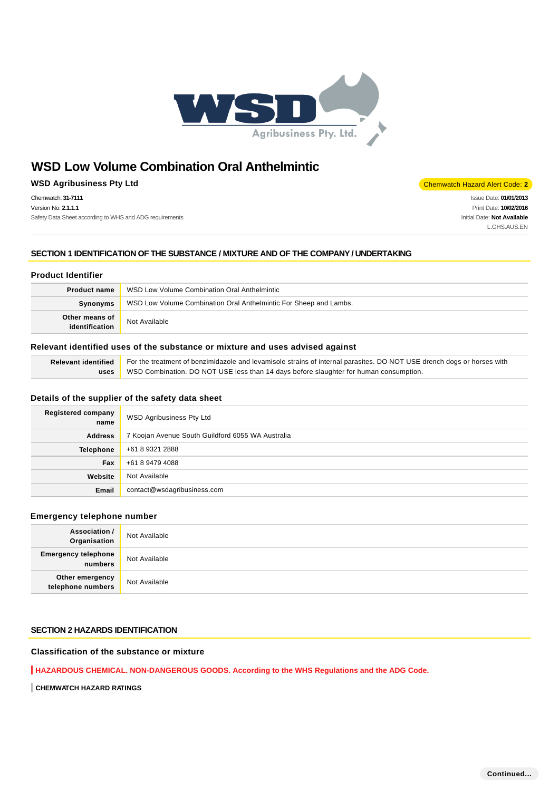

# **WSD Agribusiness Pty Ltd** Chemwatch Hazard Alert Code: **2**

Chemwatch: **31-7111** Version No: **2.1.1.1** Safety Data Sheet according to WHS and ADG requirements

Issue Date: **01/01/2013** Print Date: **10/02/2016** Initial Date: **Not Available** L.GHS.AUS.EN

# **SECTION 1 IDENTIFICATION OF THE SUBSTANCE / MIXTURE AND OF THE COMPANY / UNDERTAKING**

# **Product Identifier**

| <b>Product name</b>              | WSD Low Volume Combination Oral Anthelmintic                      |
|----------------------------------|-------------------------------------------------------------------|
| Synonyms                         | WSD Low Volume Combination Oral Anthelmintic For Sheep and Lambs. |
| Other means of<br>identification | Not Available                                                     |

# **Relevant identified uses of the substance or mixture and uses advised against**

| Relevant identified For the treatment of benzimidazole and levamisole strains of internal parasites. DO NOT USE drench dogs or horses with |  |
|--------------------------------------------------------------------------------------------------------------------------------------------|--|
| uses WSD Combination. DO NOT USE less than 14 days before slaughter for human consumption.                                                 |  |

### **Details of the supplier of the safety data sheet**

| <b>Registered company</b><br>name | WSD Agribusiness Pty Ltd                          |
|-----------------------------------|---------------------------------------------------|
| <b>Address</b>                    | 7 Koojan Avenue South Guildford 6055 WA Australia |
| <b>Telephone</b>                  | +61 8 9321 2888                                   |
| Fax                               | +61 8 9479 4088                                   |
| Website                           | Not Available                                     |
| Email                             | contact@wsdagribusiness.com                       |

### **Emergency telephone number**

| <b>Association /</b><br>Organisation    | Not Available |
|-----------------------------------------|---------------|
| <b>Emergency telephone</b><br>  numbers | Not Available |
| Other emergency<br>telephone numbers    | Not Available |

# **SECTION 2 HAZARDS IDENTIFICATION**

# **Classification of the substance or mixture**

**HAZARDOUS CHEMICAL. NON-DANGEROUS GOODS. According to the WHS Regulations and the ADG Code.**

**CHEMWATCH HAZARD RATINGS**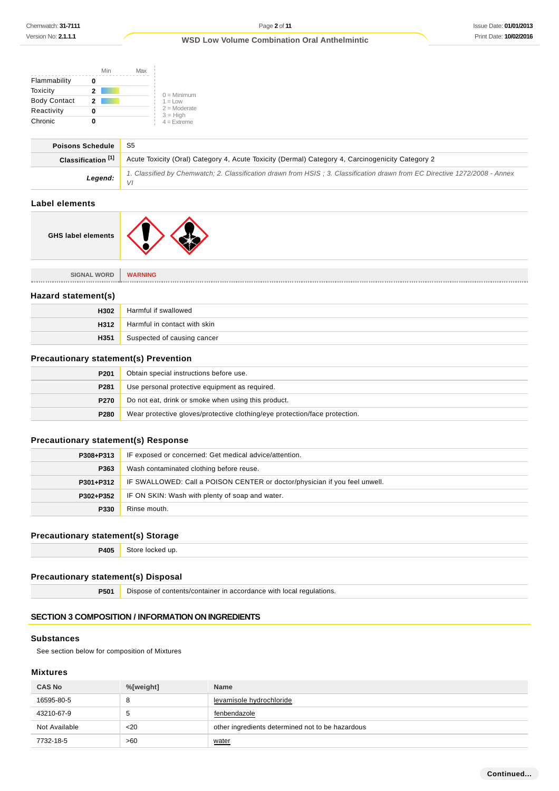|                     | Min | Max |                              |
|---------------------|-----|-----|------------------------------|
| Flammability        |     |     |                              |
| Toxicity            | 2   |     | $0 =$ Minimum                |
| <b>Body Contact</b> | 2   |     | $1 = 1$ OW                   |
| Reactivity          |     |     | $2 =$ Moderate<br>$3 = High$ |
| Chronic             |     |     | $4 =$ Extreme                |

| <b>Poisons Schedule</b>       | -S5                                                                                                                        |
|-------------------------------|----------------------------------------------------------------------------------------------------------------------------|
| Classification <sup>[1]</sup> | Acute Toxicity (Oral) Category 4, Acute Toxicity (Dermal) Category 4, Carcinogenicity Category 2                           |
| Legend: $\frac{1}{\sqrt{1}}$  | 1. Classified by Chemwatch; 2. Classification drawn from HSIS; 3. Classification drawn from EC Directive 1272/2008 - Annex |
|                               |                                                                                                                            |

# **Label elements**

| <b>GHS label elements</b> |  |
|---------------------------|--|
|---------------------------|--|

| <b>SIGNAL WORD</b>  | <b>WARNING</b>               |
|---------------------|------------------------------|
|                     |                              |
| Hazard statement(s) |                              |
| H302                | Harmful if swallowed         |
| H312                | Harmful in contact with skin |
| H351                | Suspected of causing cancer  |

# **Precautionary statement(s) Prevention**

| P <sub>201</sub> | Obtain special instructions before use.                                    |
|------------------|----------------------------------------------------------------------------|
| P281             | Use personal protective equipment as required.                             |
| P270             | Do not eat, drink or smoke when using this product.                        |
| P280             | Wear protective gloves/protective clothing/eye protection/face protection. |

# **Precautionary statement(s) Response**

| P308+P313 | IF exposed or concerned: Get medical advice/attention.                     |
|-----------|----------------------------------------------------------------------------|
| P363      | Wash contaminated clothing before reuse.                                   |
| P301+P312 | IF SWALLOWED: Call a POISON CENTER or doctor/physician if you feel unwell. |
| P302+P352 | IF ON SKIN: Wash with plenty of soap and water.                            |
| P330      | Rinse mouth.                                                               |

# **Precautionary statement(s) Storage**

**P405** Store locked up.

# **Precautionary statement(s) Disposal**

**P501** Dispose of contents/container in accordance with local regulations.

# **SECTION 3 COMPOSITION / INFORMATION ON INGREDIENTS**

### **Substances**

See section below for composition of Mixtures

# **Mixtures**

| <b>CAS No</b> | %[weight] | <b>Name</b>                                      |
|---------------|-----------|--------------------------------------------------|
| 16595-80-5    | 8         | levamisole hydrochloride                         |
| 43210-67-9    | đ         | fenbendazole                                     |
| Not Available | $20$      | other ingredients determined not to be hazardous |
| 7732-18-5     | >60       | water                                            |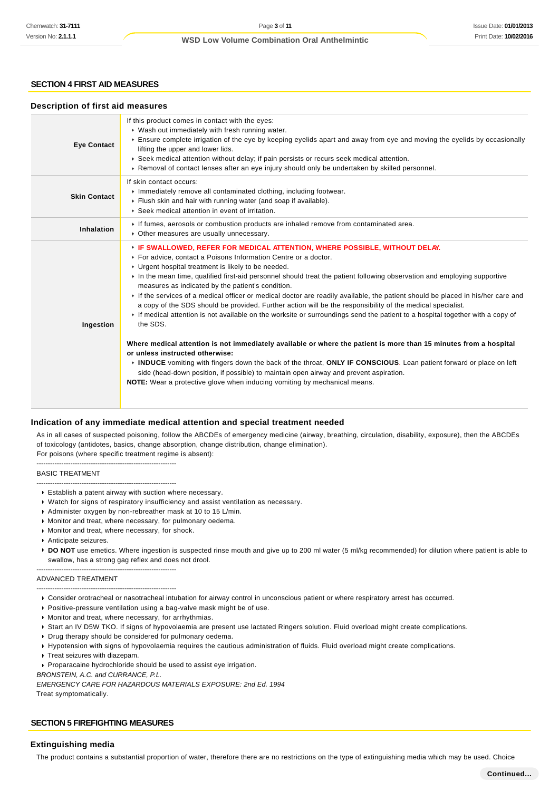# **SECTION 4 FIRST AID MEASURES**

### **Description of first aid measures**

| <b>Eye Contact</b>  | If this product comes in contact with the eyes:<br>▶ Wash out immediately with fresh running water.<br>Ensure complete irrigation of the eye by keeping eyelids apart and away from eye and moving the eyelids by occasionally<br>lifting the upper and lower lids.<br>▶ Seek medical attention without delay; if pain persists or recurs seek medical attention.<br>► Removal of contact lenses after an eye injury should only be undertaken by skilled personnel.                                                                                                                                                                                                                                                                                                                                                                                                                                                                                                                                                                                                                                                                                                                                                                         |
|---------------------|----------------------------------------------------------------------------------------------------------------------------------------------------------------------------------------------------------------------------------------------------------------------------------------------------------------------------------------------------------------------------------------------------------------------------------------------------------------------------------------------------------------------------------------------------------------------------------------------------------------------------------------------------------------------------------------------------------------------------------------------------------------------------------------------------------------------------------------------------------------------------------------------------------------------------------------------------------------------------------------------------------------------------------------------------------------------------------------------------------------------------------------------------------------------------------------------------------------------------------------------|
| <b>Skin Contact</b> | If skin contact occurs:<br>Inmediately remove all contaminated clothing, including footwear.<br>Flush skin and hair with running water (and soap if available).<br>Seek medical attention in event of irritation.                                                                                                                                                                                                                                                                                                                                                                                                                                                                                                                                                                                                                                                                                                                                                                                                                                                                                                                                                                                                                            |
| Inhalation          | If fumes, aerosols or combustion products are inhaled remove from contaminated area.<br>• Other measures are usually unnecessary.                                                                                                                                                                                                                                                                                                                                                                                                                                                                                                                                                                                                                                                                                                                                                                                                                                                                                                                                                                                                                                                                                                            |
| Ingestion           | FIF SWALLOWED, REFER FOR MEDICAL ATTENTION, WHERE POSSIBLE, WITHOUT DELAY.<br>▶ For advice, contact a Poisons Information Centre or a doctor.<br>• Urgent hospital treatment is likely to be needed.<br>In the mean time, qualified first-aid personnel should treat the patient following observation and employing supportive<br>measures as indicated by the patient's condition.<br>If the services of a medical officer or medical doctor are readily available, the patient should be placed in his/her care and<br>a copy of the SDS should be provided. Further action will be the responsibility of the medical specialist.<br>If medical attention is not available on the worksite or surroundings send the patient to a hospital together with a copy of<br>the SDS.<br>Where medical attention is not immediately available or where the patient is more than 15 minutes from a hospital<br>or unless instructed otherwise:<br>INDUCE vomiting with fingers down the back of the throat, ONLY IF CONSCIOUS. Lean patient forward or place on left<br>side (head-down position, if possible) to maintain open airway and prevent aspiration.<br><b>NOTE:</b> Wear a protective glove when inducing vomiting by mechanical means. |

### **Indication of any immediate medical attention and special treatment needed**

As in all cases of suspected poisoning, follow the ABCDEs of emergency medicine (airway, breathing, circulation, disability, exposure), then the ABCDEs of toxicology (antidotes, basics, change absorption, change distribution, change elimination). For poisons (where specific treatment regime is absent):

--------------------------------------------------------------

### BASIC TREATMENT

- -------------------------------------------------------------- Establish a patent airway with suction where necessary.
- Watch for signs of respiratory insufficiency and assist ventilation as necessary.
- Administer oxygen by non-rebreather mask at 10 to 15 L/min.
- Monitor and treat, where necessary, for pulmonary oedema.
- **Monitor and treat, where necessary, for shock.**
- Anticipate seizures.
- ▶ **DO NOT** use emetics. Where ingestion is suspected rinse mouth and give up to 200 ml water (5 ml/kg recommended) for dilution where patient is able to swallow, has a strong gag reflex and does not drool.

#### -------------------------------------------------------------- ADVANCED TREATMENT

--------------------------------------------------------------

- Consider orotracheal or nasotracheal intubation for airway control in unconscious patient or where respiratory arrest has occurred.
- Positive-pressure ventilation using a bag-valve mask might be of use.
- Monitor and treat, where necessary, for arrhythmias.
- Start an IV D5W TKO. If signs of hypovolaemia are present use lactated Ringers solution. Fluid overload might create complications.
- Drug therapy should be considered for pulmonary oedema.
- Hypotension with signs of hypovolaemia requires the cautious administration of fluids. Fluid overload might create complications.
- Treat seizures with diazepam.
- Proparacaine hydrochloride should be used to assist eye irrigation.
- BRONSTEIN, A.C. and CURRANCE, P.L.

EMERGENCY CARE FOR HAZARDOUS MATERIALS EXPOSURE: 2nd Ed. 1994 Treat symptomatically.

### **SECTION 5 FIREFIGHTING MEASURES**

# **Extinguishing media**

The product contains a substantial proportion of water, therefore there are no restrictions on the type of extinguishing media which may be used. Choice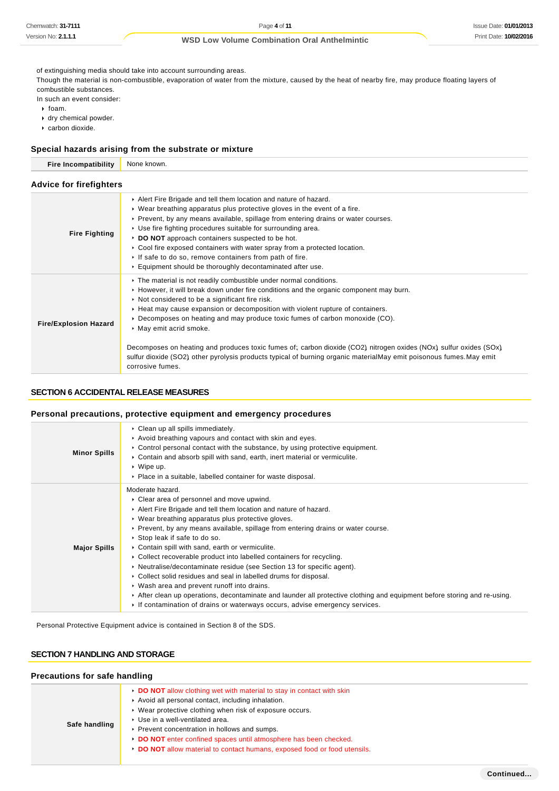of extinguishing media should take into account surrounding areas.

Though the material is non-combustible, evaporation of water from the mixture, caused by the heat of nearby fire, may produce floating layers of combustible substances.

In such an event consider:

 $\cdot$  foam.

- dry chemical powder.
- carbon dioxide.

### **Special hazards arising from the substrate or mixture**

| <b>Fire Incompatibility</b>    | None known.                                                                                                                                                                                                                                                                                                                                                                                                                                                                                                                                                                                                                                                                              |  |  |  |
|--------------------------------|------------------------------------------------------------------------------------------------------------------------------------------------------------------------------------------------------------------------------------------------------------------------------------------------------------------------------------------------------------------------------------------------------------------------------------------------------------------------------------------------------------------------------------------------------------------------------------------------------------------------------------------------------------------------------------------|--|--|--|
| <b>Advice for firefighters</b> |                                                                                                                                                                                                                                                                                                                                                                                                                                                                                                                                                                                                                                                                                          |  |  |  |
| <b>Fire Fighting</b>           | Alert Fire Brigade and tell them location and nature of hazard.<br>$\triangleright$ Wear breathing apparatus plus protective gloves in the event of a fire.<br>► Prevent, by any means available, spillage from entering drains or water courses.<br>► Use fire fighting procedures suitable for surrounding area.<br>DO NOT approach containers suspected to be hot.<br>$\triangleright$ Cool fire exposed containers with water spray from a protected location.<br>If safe to do so, remove containers from path of fire.<br>Equipment should be thoroughly decontaminated after use.                                                                                                 |  |  |  |
| <b>Fire/Explosion Hazard</b>   | The material is not readily combustible under normal conditions.<br>► However, it will break down under fire conditions and the organic component may burn.<br>• Not considered to be a significant fire risk.<br>► Heat may cause expansion or decomposition with violent rupture of containers.<br>$\triangleright$ Decomposes on heating and may produce toxic fumes of carbon monoxide (CO).<br>May emit acrid smoke.<br>Decomposes on heating and produces toxic fumes of; carbon dioxide (CO2) nitrogen oxides (NOx) sulfur oxides (SOx)<br>sulfur dioxide (SO2) other pyrolysis products typical of burning organic materialMay emit poisonous fumes.May emit<br>corrosive fumes. |  |  |  |

# **SECTION 6 ACCIDENTAL RELEASE MEASURES**

# **Personal precautions, protective equipment and emergency procedures**

| <b>Minor Spills</b> | • Clean up all spills immediately.<br>Avoid breathing vapours and contact with skin and eyes.<br>$\triangleright$ Control personal contact with the substance, by using protective equipment.<br>► Contain and absorb spill with sand, earth, inert material or vermiculite.<br>$\cdot$ Wipe up.<br>• Place in a suitable, labelled container for waste disposal.                                                                                                                                                                                                                                                                                                                                                                                                                                                                                  |
|---------------------|----------------------------------------------------------------------------------------------------------------------------------------------------------------------------------------------------------------------------------------------------------------------------------------------------------------------------------------------------------------------------------------------------------------------------------------------------------------------------------------------------------------------------------------------------------------------------------------------------------------------------------------------------------------------------------------------------------------------------------------------------------------------------------------------------------------------------------------------------|
| <b>Major Spills</b> | Moderate hazard.<br>• Clear area of personnel and move upwind.<br>Alert Fire Brigade and tell them location and nature of hazard.<br>• Wear breathing apparatus plus protective gloves.<br>► Prevent, by any means available, spillage from entering drains or water course.<br>▶ Stop leak if safe to do so.<br>• Contain spill with sand, earth or vermiculite.<br>• Collect recoverable product into labelled containers for recycling.<br>• Neutralise/decontaminate residue (see Section 13 for specific agent).<br>• Collect solid residues and seal in labelled drums for disposal.<br>• Wash area and prevent runoff into drains.<br>After clean up operations, decontaminate and launder all protective clothing and equipment before storing and re-using.<br>If contamination of drains or waterways occurs, advise emergency services. |

Personal Protective Equipment advice is contained in Section 8 of the SDS.

# **SECTION 7 HANDLING AND STORAGE**

| Precautions for safe handling |                                                                                                                                                                                                                                                                                                                                                                                                                            |  |  |  |
|-------------------------------|----------------------------------------------------------------------------------------------------------------------------------------------------------------------------------------------------------------------------------------------------------------------------------------------------------------------------------------------------------------------------------------------------------------------------|--|--|--|
| Safe handling                 | • DO NOT allow clothing wet with material to stay in contact with skin<br>Avoid all personal contact, including inhalation.<br>▶ Wear protective clothing when risk of exposure occurs.<br>▶ Use in a well-ventilated area.<br>▶ Prevent concentration in hollows and sumps.<br>DO NOT enter confined spaces until atmosphere has been checked.<br>DO NOT allow material to contact humans, exposed food or food utensils. |  |  |  |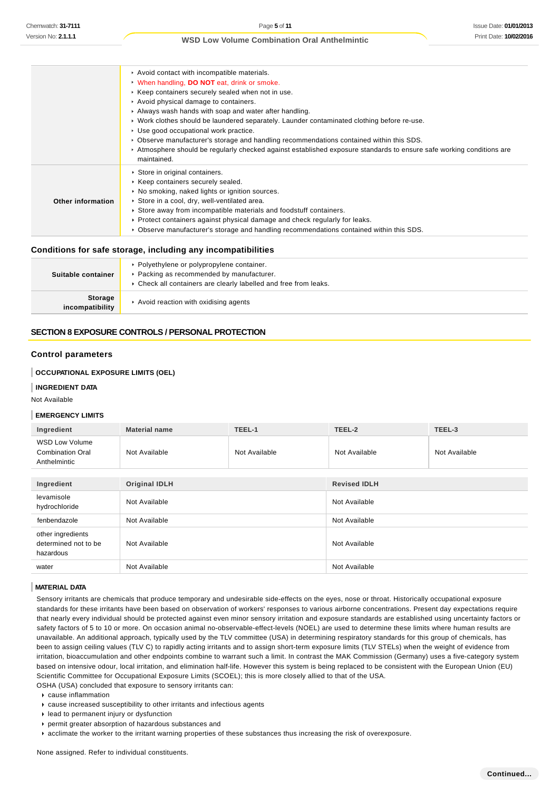|                   | Avoid contact with incompatible materials.<br>• When handling, DO NOT eat, drink or smoke.<br>▶ Keep containers securely sealed when not in use.<br>Avoid physical damage to containers.<br>Always wash hands with soap and water after handling.<br>► Work clothes should be laundered separately. Launder contaminated clothing before re-use.<br>▶ Use good occupational work practice.<br>► Observe manufacturer's storage and handling recommendations contained within this SDS.<br>Atmosphere should be regularly checked against established exposure standards to ensure safe working conditions are<br>maintained. |
|-------------------|------------------------------------------------------------------------------------------------------------------------------------------------------------------------------------------------------------------------------------------------------------------------------------------------------------------------------------------------------------------------------------------------------------------------------------------------------------------------------------------------------------------------------------------------------------------------------------------------------------------------------|
| Other information | Store in original containers.<br>▶ Keep containers securely sealed.<br>• No smoking, naked lights or ignition sources.<br>Store in a cool, dry, well-ventilated area.<br>► Store away from incompatible materials and foodstuff containers.<br>► Protect containers against physical damage and check regularly for leaks.<br>► Observe manufacturer's storage and handling recommendations contained within this SDS.                                                                                                                                                                                                       |

### **Conditions for safe storage, including any incompatibilities**

| Suitable container                | ▶ Polyethylene or polypropylene container.<br>▶ Packing as recommended by manufacturer.<br>▶ Check all containers are clearly labelled and free from leaks. |  |
|-----------------------------------|-------------------------------------------------------------------------------------------------------------------------------------------------------------|--|
| <b>Storage</b><br>incompatibility | Avoid reaction with oxidising agents                                                                                                                        |  |

# **SECTION 8 EXPOSURE CONTROLS / PERSONAL PROTECTION**

# **Control parameters**

## **OCCUPATIONAL EXPOSURE LIMITS (OEL)**

### **INGREDIENT DATA**

Not Available

### **EMERGENCY LIMITS**

| Ingredient                                                       | <b>Material name</b> | TEEL-1        | TEEL-2              | TEEL-3        |
|------------------------------------------------------------------|----------------------|---------------|---------------------|---------------|
| <b>WSD Low Volume</b><br><b>Combination Oral</b><br>Anthelmintic | Not Available        | Not Available | Not Available       | Not Available |
|                                                                  |                      |               |                     |               |
| Ingredient                                                       | <b>Original IDLH</b> |               | <b>Revised IDLH</b> |               |
| levamisole<br>hydrochloride                                      | Not Available        |               | Not Available       |               |
| fenbendazole                                                     | Not Available        |               | Not Available       |               |
| other ingredients<br>determined not to be<br>hazardous           | Not Available        |               | Not Available       |               |
| water                                                            | Not Available        |               | Not Available       |               |

### **MATERIAL DATA**

Sensory irritants are chemicals that produce temporary and undesirable side-effects on the eyes, nose or throat. Historically occupational exposure standards for these irritants have been based on observation of workers' responses to various airborne concentrations. Present day expectations require that nearly every individual should be protected against even minor sensory irritation and exposure standards are established using uncertainty factors or safety factors of 5 to 10 or more. On occasion animal no-observable-effect-levels (NOEL) are used to determine these limits where human results are unavailable. An additional approach, typically used by the TLV committee (USA) in determining respiratory standards for this group of chemicals, has been to assign ceiling values (TLV C) to rapidly acting irritants and to assign short-term exposure limits (TLV STELs) when the weight of evidence from irritation, bioaccumulation and other endpoints combine to warrant such a limit. In contrast the MAK Commission (Germany) uses a five-category system based on intensive odour, local irritation, and elimination half-life. However this system is being replaced to be consistent with the European Union (EU) Scientific Committee for Occupational Exposure Limits (SCOEL); this is more closely allied to that of the USA.

OSHA (USA) concluded that exposure to sensory irritants can:

- cause inflammation
- cause increased susceptibility to other irritants and infectious agents
- lead to permanent injury or dysfunction
- permit greater absorption of hazardous substances and
- acclimate the worker to the irritant warning properties of these substances thus increasing the risk of overexposure.

None assigned. Refer to individual constituents.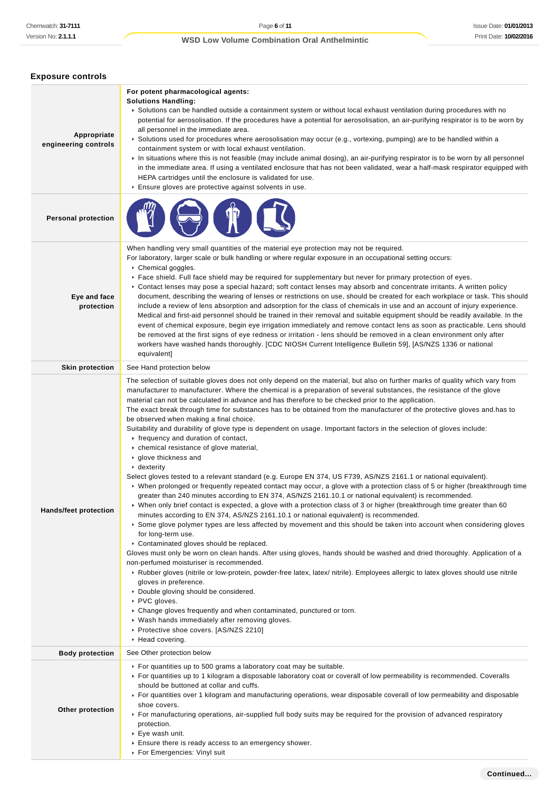| <b>Exposure controls</b>            |                                                                                                                                                                                                                                                                                                                                                                                                                                                                                                                                                                                                                                                                                                                                                                                                                                                                                                                                                                                                                                                                                                                                                                                                                                                                                                                                                                                                                                                                                                                                                                                                                                                                                                                                                                                                                                                                                                                                                                                                                                                                                                                                                                        |
|-------------------------------------|------------------------------------------------------------------------------------------------------------------------------------------------------------------------------------------------------------------------------------------------------------------------------------------------------------------------------------------------------------------------------------------------------------------------------------------------------------------------------------------------------------------------------------------------------------------------------------------------------------------------------------------------------------------------------------------------------------------------------------------------------------------------------------------------------------------------------------------------------------------------------------------------------------------------------------------------------------------------------------------------------------------------------------------------------------------------------------------------------------------------------------------------------------------------------------------------------------------------------------------------------------------------------------------------------------------------------------------------------------------------------------------------------------------------------------------------------------------------------------------------------------------------------------------------------------------------------------------------------------------------------------------------------------------------------------------------------------------------------------------------------------------------------------------------------------------------------------------------------------------------------------------------------------------------------------------------------------------------------------------------------------------------------------------------------------------------------------------------------------------------------------------------------------------------|
| Appropriate<br>engineering controls | For potent pharmacological agents:<br><b>Solutions Handling:</b><br>▶ Solutions can be handled outside a containment system or without local exhaust ventilation during procedures with no<br>potential for aerosolisation. If the procedures have a potential for aerosolisation, an air-purifying respirator is to be worn by<br>all personnel in the immediate area.<br>► Solutions used for procedures where aerosolisation may occur (e.g., vortexing, pumping) are to be handled within a<br>containment system or with local exhaust ventilation.<br>► In situations where this is not feasible (may include animal dosing), an air-purifying respirator is to be worn by all personnel<br>in the immediate area. If using a ventilated enclosure that has not been validated, wear a half-mask respirator equipped with<br>HEPA cartridges until the enclosure is validated for use.<br>Ensure gloves are protective against solvents in use.                                                                                                                                                                                                                                                                                                                                                                                                                                                                                                                                                                                                                                                                                                                                                                                                                                                                                                                                                                                                                                                                                                                                                                                                                  |
| <b>Personal protection</b>          |                                                                                                                                                                                                                                                                                                                                                                                                                                                                                                                                                                                                                                                                                                                                                                                                                                                                                                                                                                                                                                                                                                                                                                                                                                                                                                                                                                                                                                                                                                                                                                                                                                                                                                                                                                                                                                                                                                                                                                                                                                                                                                                                                                        |
| Eye and face<br>protection          | When handling very small quantities of the material eye protection may not be required.<br>For laboratory, larger scale or bulk handling or where regular exposure in an occupational setting occurs:<br>Chemical goggles.<br>► Face shield. Full face shield may be required for supplementary but never for primary protection of eyes.<br>▶ Contact lenses may pose a special hazard; soft contact lenses may absorb and concentrate irritants. A written policy<br>document, describing the wearing of lenses or restrictions on use, should be created for each workplace or task. This should<br>include a review of lens absorption and adsorption for the class of chemicals in use and an account of injury experience.<br>Medical and first-aid personnel should be trained in their removal and suitable equipment should be readily available. In the<br>event of chemical exposure, begin eye irrigation immediately and remove contact lens as soon as practicable. Lens should<br>be removed at the first signs of eye redness or irritation - lens should be removed in a clean environment only after<br>workers have washed hands thoroughly. [CDC NIOSH Current Intelligence Bulletin 59], [AS/NZS 1336 or national<br>equivalent]                                                                                                                                                                                                                                                                                                                                                                                                                                                                                                                                                                                                                                                                                                                                                                                                                                                                                                                  |
| <b>Skin protection</b>              | See Hand protection below                                                                                                                                                                                                                                                                                                                                                                                                                                                                                                                                                                                                                                                                                                                                                                                                                                                                                                                                                                                                                                                                                                                                                                                                                                                                                                                                                                                                                                                                                                                                                                                                                                                                                                                                                                                                                                                                                                                                                                                                                                                                                                                                              |
| <b>Hands/feet protection</b>        | The selection of suitable gloves does not only depend on the material, but also on further marks of quality which vary from<br>manufacturer to manufacturer. Where the chemical is a preparation of several substances, the resistance of the glove<br>material can not be calculated in advance and has therefore to be checked prior to the application.<br>The exact break through time for substances has to be obtained from the manufacturer of the protective gloves and has to<br>be observed when making a final choice.<br>Suitability and durability of glove type is dependent on usage. Important factors in the selection of gloves include:<br>$\cdot$ frequency and duration of contact,<br>chemical resistance of glove material,<br>glove thickness and<br>$\cdot$ dexterity<br>Select gloves tested to a relevant standard (e.g. Europe EN 374, US F739, AS/NZS 2161.1 or national equivalent).<br>▶ When prolonged or frequently repeated contact may occur, a glove with a protection class of 5 or higher (breakthrough time<br>greater than 240 minutes according to EN 374, AS/NZS 2161.10.1 or national equivalent) is recommended.<br>▶ When only brief contact is expected, a glove with a protection class of 3 or higher (breakthrough time greater than 60<br>minutes according to EN 374, AS/NZS 2161.10.1 or national equivalent) is recommended.<br>▶ Some glove polymer types are less affected by movement and this should be taken into account when considering gloves<br>for long-term use.<br>Contaminated gloves should be replaced.<br>Gloves must only be worn on clean hands. After using gloves, hands should be washed and dried thoroughly. Application of a<br>non-perfumed moisturiser is recommended.<br>▶ Rubber gloves (nitrile or low-protein, powder-free latex, latex/ nitrile). Employees allergic to latex gloves should use nitrile<br>gloves in preference.<br>Double gloving should be considered.<br>▶ PVC gloves.<br>• Change gloves frequently and when contaminated, punctured or torn.<br>▶ Wash hands immediately after removing gloves.<br>Protective shoe covers. [AS/NZS 2210]<br>▶ Head covering. |
| <b>Body protection</b>              | See Other protection below                                                                                                                                                                                                                                                                                                                                                                                                                                                                                                                                                                                                                                                                                                                                                                                                                                                                                                                                                                                                                                                                                                                                                                                                                                                                                                                                                                                                                                                                                                                                                                                                                                                                                                                                                                                                                                                                                                                                                                                                                                                                                                                                             |
| Other protection                    | ► For quantities up to 500 grams a laboratory coat may be suitable.<br>► For quantities up to 1 kilogram a disposable laboratory coat or coverall of low permeability is recommended. Coveralls<br>should be buttoned at collar and cuffs.<br>For quantities over 1 kilogram and manufacturing operations, wear disposable coverall of low permeability and disposable<br>shoe covers.<br>For manufacturing operations, air-supplied full body suits may be required for the provision of advanced respiratory<br>protection.<br>▶ Eye wash unit.<br>Ensure there is ready access to an emergency shower.                                                                                                                                                                                                                                                                                                                                                                                                                                                                                                                                                                                                                                                                                                                                                                                                                                                                                                                                                                                                                                                                                                                                                                                                                                                                                                                                                                                                                                                                                                                                                              |

For Emergencies: Vinyl suit

**Continued...**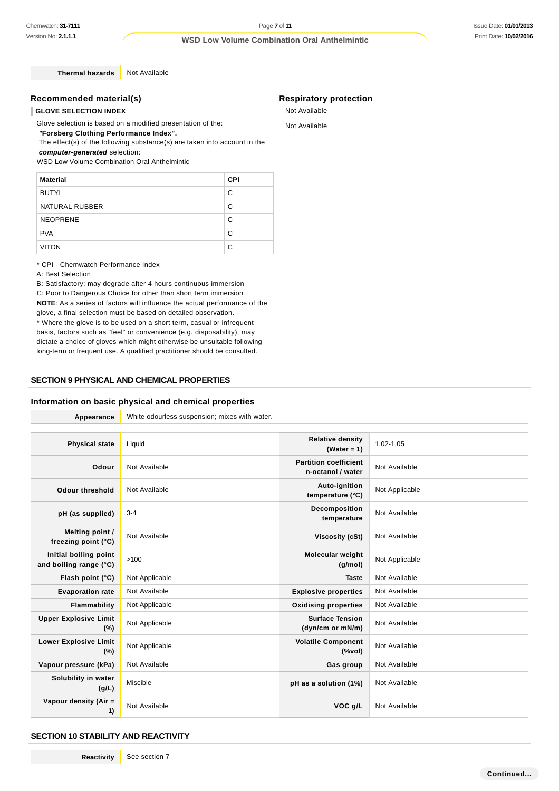**Thermal hazards** Not Available

# **Recommended material(s)**

# **GLOVE SELECTION INDEX**

Glove selection is based on a modified presentation of the:

 **"Forsberg Clothing Performance Index".** The effect(s) of the following substance(s) are taken into account in the

**computer-generated** selection:

WSD Low Volume Combination Oral Anthelmintic

| <b>Material</b> | <b>CPI</b> |
|-----------------|------------|
| <b>BUTYL</b>    | C          |
| NATURAL RUBBER  | C          |
| <b>NEOPRENE</b> | C          |
| <b>PVA</b>      | C          |
| <b>VITON</b>    | C          |

\* CPI - Chemwatch Performance Index

A: Best Selection

B: Satisfactory; may degrade after 4 hours continuous immersion C: Poor to Dangerous Choice for other than short term immersion **NOTE**: As a series of factors will influence the actual performance of the glove, a final selection must be based on detailed observation. - \* Where the glove is to be used on a short term, casual or infrequent basis, factors such as "feel" or convenience (e.g. disposability), may dictate a choice of gloves which might otherwise be unsuitable following long-term or frequent use. A qualified practitioner should be consulted.

# **SECTION 9 PHYSICAL AND CHEMICAL PROPERTIES**

### **Information on basic physical and chemical properties**

| Appearance                                      | White odourless suspension; mixes with water. |                                                                                    |                |  |
|-------------------------------------------------|-----------------------------------------------|------------------------------------------------------------------------------------|----------------|--|
|                                                 |                                               |                                                                                    |                |  |
| <b>Physical state</b>                           | Liquid                                        | <b>Relative density</b><br>(Water = $1$ )                                          | 1.02-1.05      |  |
| Odour                                           | Not Available                                 | <b>Partition coefficient</b><br>n-octanol / water                                  | Not Available  |  |
| <b>Odour threshold</b>                          | Not Available                                 | Auto-ignition<br>temperature (°C)                                                  | Not Applicable |  |
| pH (as supplied)                                | $3 - 4$                                       | Decomposition<br>temperature                                                       | Not Available  |  |
| Melting point /<br>freezing point (°C)          | Not Available                                 | Viscosity (cSt)                                                                    | Not Available  |  |
| Initial boiling point<br>and boiling range (°C) | >100                                          | <b>Molecular weight</b><br>(g/mol)                                                 | Not Applicable |  |
| Flash point (°C)                                | Not Applicable                                | <b>Taste</b>                                                                       | Not Available  |  |
| <b>Evaporation rate</b>                         | Not Available                                 | <b>Explosive properties</b>                                                        | Not Available  |  |
| Flammability                                    | Not Applicable                                | <b>Oxidising properties</b>                                                        | Not Available  |  |
| <b>Upper Explosive Limit</b><br>$(\%)$          | Not Applicable                                | <b>Surface Tension</b><br>(dyn/cm or mN/m)                                         | Not Available  |  |
| <b>Lower Explosive Limit</b><br>$(\%)$          | Not Applicable                                | <b>Volatile Component</b><br>$(% \mathcal{L}^{\prime }\cap \mathcal{L}^{\prime })$ | Not Available  |  |
| Vapour pressure (kPa)                           | Not Available                                 | Gas group                                                                          | Not Available  |  |
| Solubility in water<br>(g/L)                    | Miscible                                      | pH as a solution (1%)                                                              | Not Available  |  |
| Vapour density (Air =<br>1)                     | Not Available                                 | VOC g/L                                                                            | Not Available  |  |

# **SECTION 10 STABILITY AND REACTIVITY**

**Reactivity** See section 7

# **Respiratory protection**

Not Available

Not Available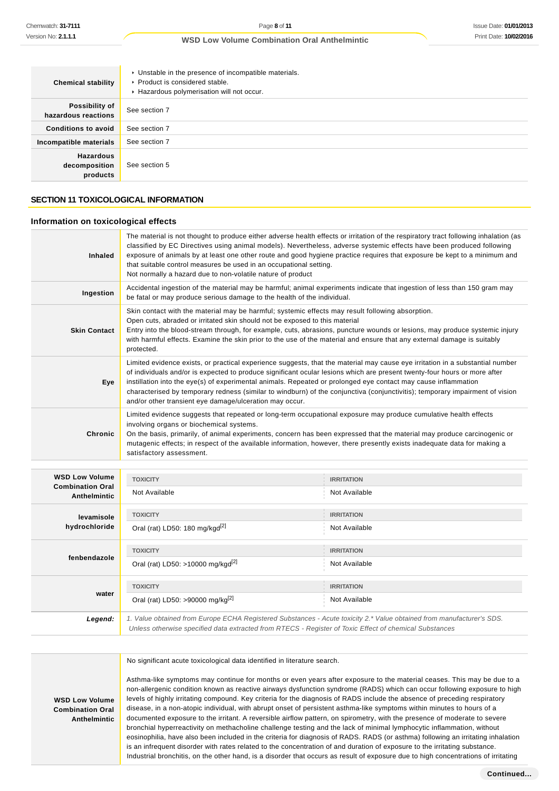| <b>Chemical stability</b>                     | • Unstable in the presence of incompatible materials.<br>▶ Product is considered stable.<br>Hazardous polymerisation will not occur. |
|-----------------------------------------------|--------------------------------------------------------------------------------------------------------------------------------------|
| Possibility of<br>hazardous reactions         | See section 7                                                                                                                        |
| <b>Conditions to avoid</b>                    | See section 7                                                                                                                        |
| Incompatible materials                        | See section 7                                                                                                                        |
| <b>Hazardous</b><br>decomposition<br>products | See section 5                                                                                                                        |

# **SECTION 11 TOXICOLOGICAL INFORMATION**

### **Information on toxicological effects**

| <b>Inhaled</b>                                                   | The material is not thought to produce either adverse health effects or irritation of the respiratory tract following inhalation (as<br>classified by EC Directives using animal models). Nevertheless, adverse systemic effects have been produced following<br>exposure of animals by at least one other route and good hygiene practice requires that exposure be kept to a minimum and<br>that suitable control measures be used in an occupational setting.<br>Not normally a hazard due to non-volatile nature of product                                         |                                    |  |
|------------------------------------------------------------------|-------------------------------------------------------------------------------------------------------------------------------------------------------------------------------------------------------------------------------------------------------------------------------------------------------------------------------------------------------------------------------------------------------------------------------------------------------------------------------------------------------------------------------------------------------------------------|------------------------------------|--|
| Ingestion                                                        | Accidental ingestion of the material may be harmful; animal experiments indicate that ingestion of less than 150 gram may<br>be fatal or may produce serious damage to the health of the individual.                                                                                                                                                                                                                                                                                                                                                                    |                                    |  |
| <b>Skin Contact</b>                                              | Skin contact with the material may be harmful; systemic effects may result following absorption.<br>Open cuts, abraded or irritated skin should not be exposed to this material<br>Entry into the blood-stream through, for example, cuts, abrasions, puncture wounds or lesions, may produce systemic injury<br>with harmful effects. Examine the skin prior to the use of the material and ensure that any external damage is suitably<br>protected.                                                                                                                  |                                    |  |
| Eye                                                              | Limited evidence exists, or practical experience suggests, that the material may cause eye irritation in a substantial number<br>of individuals and/or is expected to produce significant ocular lesions which are present twenty-four hours or more after<br>instillation into the eye(s) of experimental animals. Repeated or prolonged eye contact may cause inflammation<br>characterised by temporary redness (similar to windburn) of the conjunctiva (conjunctivitis); temporary impairment of vision<br>and/or other transient eye damage/ulceration may occur. |                                    |  |
| Chronic                                                          | Limited evidence suggests that repeated or long-term occupational exposure may produce cumulative health effects<br>involving organs or biochemical systems.<br>On the basis, primarily, of animal experiments, concern has been expressed that the material may produce carcinogenic or<br>mutagenic effects; in respect of the available information, however, there presently exists inadequate data for making a<br>satisfactory assessment.                                                                                                                        |                                    |  |
| <b>WSD Low Volume</b><br><b>Combination Oral</b><br>Antholmintic | <b>TOXICITY</b><br>Not Available                                                                                                                                                                                                                                                                                                                                                                                                                                                                                                                                        | <b>IRRITATION</b><br>Not Available |  |

|                                         | .                                                                                                                                                                                                                               |                   |
|-----------------------------------------|---------------------------------------------------------------------------------------------------------------------------------------------------------------------------------------------------------------------------------|-------------------|
| <b>Combination Oral</b><br>Anthelmintic | Not Available                                                                                                                                                                                                                   | Not Available     |
| levamisole                              | <b>TOXICITY</b>                                                                                                                                                                                                                 | <b>IRRITATION</b> |
| hydrochloride                           | Oral (rat) LD50: 180 mg/kgd <sup>[2]</sup>                                                                                                                                                                                      | Not Available     |
| fenbendazole                            | <b>TOXICITY</b>                                                                                                                                                                                                                 | <b>IRRITATION</b> |
|                                         | Oral (rat) LD50: >10000 mg/kgd <sup>[2]</sup>                                                                                                                                                                                   | Not Available     |
| water                                   | <b>TOXICITY</b>                                                                                                                                                                                                                 | <b>IRRITATION</b> |
|                                         | Oral (rat) LD50: >90000 mg/kg <sup>[2]</sup>                                                                                                                                                                                    | Not Available     |
| Legend:                                 | 1. Value obtained from Europe ECHA Registered Substances - Acute toxicity 2.* Value obtained from manufacturer's SDS.<br>Unless otherwise specified data extracted from RTECS - Register of Toxic Effect of chemical Substances |                   |

No significant acute toxicological data identified in literature search.

**WSD Low Volume Combination Oral Anthelmintic**

Asthma-like symptoms may continue for months or even years after exposure to the material ceases. This may be due to a non-allergenic condition known as reactive airways dysfunction syndrome (RADS) which can occur following exposure to high levels of highly irritating compound. Key criteria for the diagnosis of RADS include the absence of preceding respiratory disease, in a non-atopic individual, with abrupt onset of persistent asthma-like symptoms within minutes to hours of a documented exposure to the irritant. A reversible airflow pattern, on spirometry, with the presence of moderate to severe bronchial hyperreactivity on methacholine challenge testing and the lack of minimal lymphocytic inflammation, without eosinophilia, have also been included in the criteria for diagnosis of RADS. RADS (or asthma) following an irritating inhalation is an infrequent disorder with rates related to the concentration of and duration of exposure to the irritating substance. Industrial bronchitis, on the other hand, is a disorder that occurs as result of exposure due to high concentrations of irritating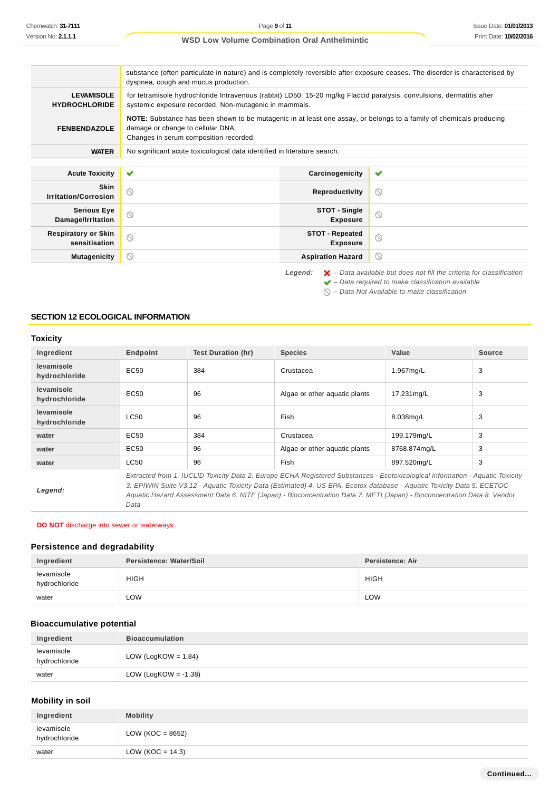#### **WSD Low Volume Combination Oral Anthelmintic** substance (often particulate in nature) and is completely reversible after exposure ceases. The disorder is characterised by dyspnea, cough and mucus production. **LEVAMISOLE** for tetramisole hydrochloride Intravenous (rabbit) LD50: 15-20 mg/kg Flaccid paralysis, convulsions, dermatitis after **HYDROCHLORIDE** systemic exposure recorded. Non-mutagenic in mammals. **NOTE:** Substance has been shown to be mutagenic in at least one assay, or belongs to a family of chemicals producing **FENBENDAZOLE** damage or change to cellular DNA. Changes in serum composition recorded. **WATER** No significant acute toxicological data identified in literature search. **Acute Toxicity Carcinogenicity**  $\checkmark$ **Skin Irritation/Corrosion Reproductivity**  $\circ$ **Serious Eye STOT - Single**  $\circlearrowright$  $\circledcirc$ **Damage/Irritation Exposure Respiratory or Skin STOT - Repeated**  $\circledcirc$  $\circledcirc$ **sensitisation Exposure Mutagenicity CONSISTENT CONSISTENT ASPIRATION HAZARD**  $\circ$ Legend:  $\mathsf{X}$  – Data available but does not fill the criteria for classification  $\blacktriangleright$  – Data required to make classification available

 $\bigcirc$  – Data Not Available to make classification

# **SECTION 12 ECOLOGICAL INFORMATION**

### **Toxicity**

| Ingredient                  | Endpoint                                                                                                                                                                                                                                                                                                                                                                            | Test Duration (hr) | <b>Species</b>                | Value        | <b>Source</b> |
|-----------------------------|-------------------------------------------------------------------------------------------------------------------------------------------------------------------------------------------------------------------------------------------------------------------------------------------------------------------------------------------------------------------------------------|--------------------|-------------------------------|--------------|---------------|
| levamisole<br>hydrochloride | EC50                                                                                                                                                                                                                                                                                                                                                                                | 384                | Crustacea                     | 1.967mg/L    | 3             |
| levamisole<br>hydrochloride | EC <sub>50</sub>                                                                                                                                                                                                                                                                                                                                                                    | 96                 | Algae or other aquatic plants | 17.231mg/L   | 3             |
| levamisole<br>hydrochloride | <b>LC50</b>                                                                                                                                                                                                                                                                                                                                                                         | 96                 | Fish                          | 8.038mg/L    | 3             |
| water                       | EC50                                                                                                                                                                                                                                                                                                                                                                                | 384                | Crustacea                     | 199.179mg/L  | 3             |
| water                       | EC50                                                                                                                                                                                                                                                                                                                                                                                | 96                 | Algae or other aquatic plants | 8768.874mg/L | 3             |
| water                       | LC50                                                                                                                                                                                                                                                                                                                                                                                | 96                 | Fish                          | 897.520mg/L  | 3             |
| Legend:                     | Extracted from 1. IUCLID Toxicity Data 2. Europe ECHA Registered Substances - Ecotoxicological Information - Aquatic Toxicity<br>3. EPIWIN Suite V3.12 - Aquatic Toxicity Data (Estimated) 4. US EPA, Ecotox database - Aquatic Toxicity Data 5. ECETOC<br>Aquatic Hazard Assessment Data 6. NITE (Japan) - Bioconcentration Data 7. METI (Japan) - Bioconcentration Data 8. Vendor |                    |                               |              |               |

### **DO NOT** discharge into sewer or waterways.

Data

### **Persistence and degradability**

| Ingredient                  | Persistence: Water/Soil | Persistence: Air |
|-----------------------------|-------------------------|------------------|
| levamisole<br>hydrochloride | <b>HIGH</b>             | <b>HIGH</b>      |
| water                       | LOW                     | LOW              |

### **Bioaccumulative potential**

| Ingredient                  | <b>Bioaccumulation</b>  |  |
|-----------------------------|-------------------------|--|
| levamisole<br>hydrochloride | LOW (LogKOW = $1.84$ )  |  |
| water                       | LOW (LogKOW = $-1.38$ ) |  |

### **Mobility in soil**

| Ingredient                  | <b>Mobility</b>     |
|-----------------------------|---------------------|
| levamisole<br>hydrochloride | LOW (KOC = $8652$ ) |
| water                       | LOW (KOC = $14.3$ ) |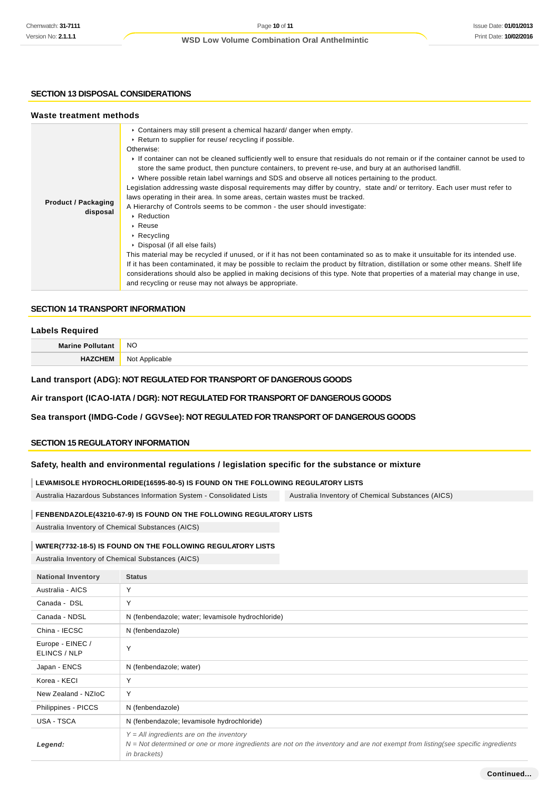# **SECTION 13 DISPOSAL CONSIDERATIONS**

| Waste treatment methods                |                                                                                                                                                                                                                                                                                                                                                                                                                                                                                                                                                                                                                                                                                                                                                                                                                                                                                                                                                                                                                                                                                                                                                                                                                                                                                                                                                                                     |
|----------------------------------------|-------------------------------------------------------------------------------------------------------------------------------------------------------------------------------------------------------------------------------------------------------------------------------------------------------------------------------------------------------------------------------------------------------------------------------------------------------------------------------------------------------------------------------------------------------------------------------------------------------------------------------------------------------------------------------------------------------------------------------------------------------------------------------------------------------------------------------------------------------------------------------------------------------------------------------------------------------------------------------------------------------------------------------------------------------------------------------------------------------------------------------------------------------------------------------------------------------------------------------------------------------------------------------------------------------------------------------------------------------------------------------------|
| <b>Product / Packaging</b><br>disposal | $\triangleright$ Containers may still present a chemical hazard/ danger when empty.<br>► Return to supplier for reuse/ recycling if possible.<br>Otherwise:<br>If container can not be cleaned sufficiently well to ensure that residuals do not remain or if the container cannot be used to<br>store the same product, then puncture containers, to prevent re-use, and bury at an authorised landfill.<br>► Where possible retain label warnings and SDS and observe all notices pertaining to the product.<br>Legislation addressing waste disposal requirements may differ by country, state and/ or territory. Each user must refer to<br>laws operating in their area. In some areas, certain wastes must be tracked.<br>A Hierarchy of Controls seems to be common - the user should investigate:<br>▶ Reduction<br>$\triangleright$ Reuse<br>$\triangleright$ Recycling<br>▶ Disposal (if all else fails)<br>This material may be recycled if unused, or if it has not been contaminated so as to make it unsuitable for its intended use.<br>If it has been contaminated, it may be possible to reclaim the product by filtration, distillation or some other means. Shelf life<br>considerations should also be applied in making decisions of this type. Note that properties of a material may change in use,<br>and recycling or reuse may not always be appropriate. |

# **SECTION 14 TRANSPORT INFORMATION**

### **Labels Required**

| $M - 1$ | <b>NO</b>       |
|---------|-----------------|
|         | N <sub>Io</sub> |

# **Land transport (ADG): NOT REGULATED FOR TRANSPORT OF DANGEROUS GOODS**

# **Air transport (ICAO-IATA / DGR): NOT REGULATED FOR TRANSPORT OF DANGEROUS GOODS**

# **Sea transport (IMDG-Code / GGVSee): NOT REGULATED FOR TRANSPORT OF DANGEROUS GOODS**

### **SECTION 15 REGULATORY INFORMATION**

### **Safety, health and environmental regulations / legislation specific for the substance or mixture**

### **LEVAMISOLE HYDROCHLORIDE(16595-80-5) IS FOUND ON THE FOLLOWING REGULATORY LISTS**

Australia Hazardous Substances Information System - Consolidated Lists Australia Inventory of Chemical Substances (AICS)

### **FENBENDAZOLE(43210-67-9) IS FOUND ON THE FOLLOWING REGULATORY LISTS**

Australia Inventory of Chemical Substances (AICS)

### **WATER(7732-18-5) IS FOUND ON THE FOLLOWING REGULATORY LISTS**

Australia Inventory of Chemical Substances (AICS)

| <b>National Inventory</b>        | <b>Status</b>                                                                                                                                                                                         |
|----------------------------------|-------------------------------------------------------------------------------------------------------------------------------------------------------------------------------------------------------|
| Australia - AICS                 | Υ                                                                                                                                                                                                     |
| Canada - DSL                     | Υ                                                                                                                                                                                                     |
| Canada - NDSL                    | N (fenbendazole; water; levamisole hydrochloride)                                                                                                                                                     |
| China - IECSC                    | N (fenbendazole)                                                                                                                                                                                      |
| Europe - EINEC /<br>ELINCS / NLP | Υ                                                                                                                                                                                                     |
| Japan - ENCS                     | N (fenbendazole; water)                                                                                                                                                                               |
| Korea - KECI                     | Υ                                                                                                                                                                                                     |
| New Zealand - NZIoC              | Υ                                                                                                                                                                                                     |
| Philippines - PICCS              | N (fenbendazole)                                                                                                                                                                                      |
| USA - TSCA                       | N (fenbendazole; levamisole hydrochloride)                                                                                                                                                            |
| Legend:                          | $Y = All$ ingredients are on the inventory<br>N = Not determined or one or more ingredients are not on the inventory and are not exempt from listing(see specific ingredients<br><i>in brackets</i> ) |